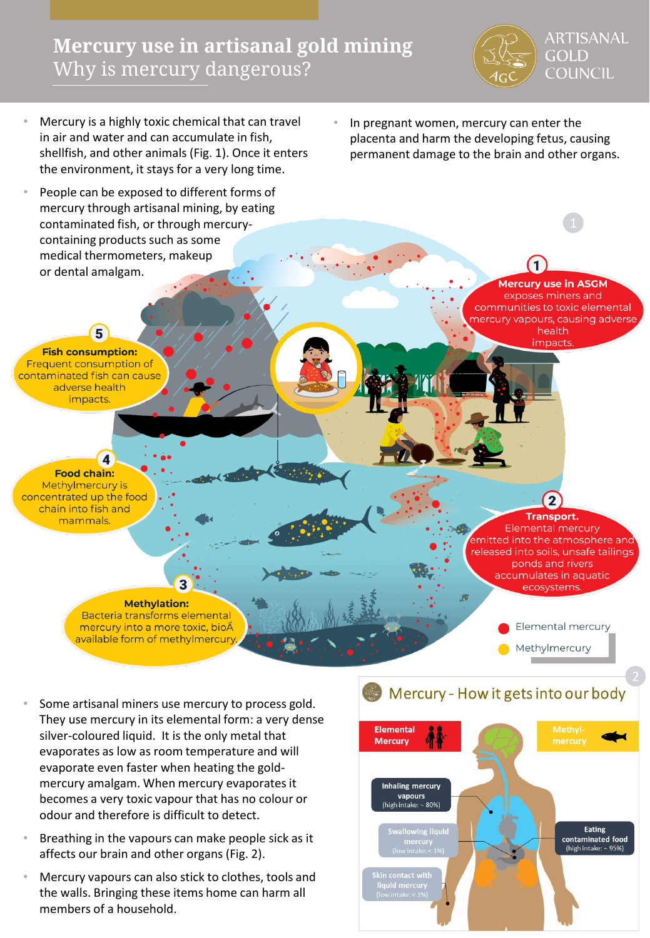# **Mercury use in artisanal gold mining**  Why is mercury dangerous?



**Mercury use in ASGM** exposes miners and communities to toxic elemental nercury vapours, causing adverse health

*impacts* 

- Mercury is a highly toxic chemical that can travel in air and water and can accumulate in fish, shellfish, and other animals (Fig. 1). Once it enters the environment, it stays for a very long time.
- People can be exposed to different forms of mercury through artisanal mining, by eating contaminated fish, or through mercurycontaining products such as some medical thermometers, makeup or dental amalgam.

5

 $\blacktriangle$ 

**Food chain:** Methylmercury is concentrated up the food

chain into fish and

mammals.

**Fish consumption:** Frequent consumption of contaminated fish can cause adverse health impacts.

• In pregnant women, mercury can enter the placenta and harm the developing fetus, causing permanent damage to the brain and other organs.

> (2 **Transport. Elemental mercury** emitted into the atmosphere and released into soils, unsafe tailings ponds and rivers accumulates in aquatic ecosystems. Elemental mercury

Methylmercury

Some artisanal miners use mercury to process gold. They use mercury in its elemental form: a very dense silver-coloured liquid. It is the only metal that evaporates as low as room temperature and will evaporate even faster when heating the goldmercury amalgam. When mercury evaporates it becomes a very toxic vapour that has no colour or odour and therefore is difficult to detect.

**Methylation:** Bacteria transforms elemental

mercury into a more toxic, bioÂ available form of methylmercury

- Breathing in the vapours can make people sick as it affects our brain and other organs (Fig. 2).
- Mercury vapours can also stick to clothes, tools and the walls. Bringing these items home can harm all members of a household.